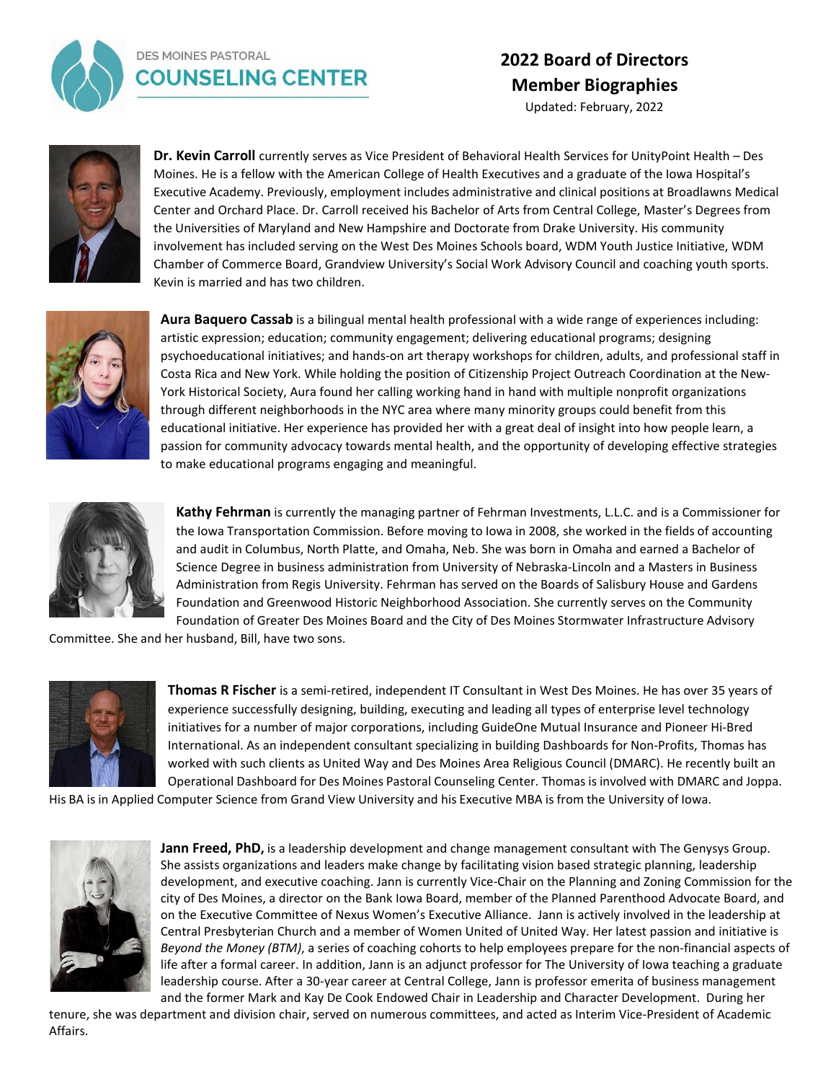

## **DES MOINES PASTORAL COUNSELING CENTER**

## **2022 Board of Directors Member Biographies**

Updated: February, 2022



**Dr. Kevin Carroll** currently serves as Vice President of Behavioral Health Services for UnityPoint Health – Des Moines. He is a fellow with the American College of Health Executives and a graduate of the Iowa Hospital's Executive Academy. Previously, employment includes administrative and clinical positions at Broadlawns Medical Center and Orchard Place. Dr. Carroll received his Bachelor of Arts from Central College, Master's Degrees from the Universities of Maryland and New Hampshire and Doctorate from Drake University. His community involvement has included serving on the West Des Moines Schools board, WDM Youth Justice Initiative, WDM Chamber of Commerce Board, Grandview University's Social Work Advisory Council and coaching youth sports. Kevin is married and has two children.



**Aura Baquero Cassab** is a bilingual mental health professional with a wide range of experiences including: artistic expression; education; community engagement; delivering educational programs; designing psychoeducational initiatives; and hands-on art therapy workshops for children, adults, and professional staff in Costa Rica and New York. While holding the position of Citizenship Project Outreach Coordination at the New-York Historical Society, Aura found her calling working hand in hand with multiple nonprofit organizations through different neighborhoods in the NYC area where many minority groups could benefit from this educational initiative. Her experience has provided her with a great deal of insight into how people learn, a passion for community advocacy towards mental health, and the opportunity of developing effective strategies to make educational programs engaging and meaningful.



**Kathy Fehrman** is currently the managing partner of Fehrman Investments, L.L.C. and is a Commissioner for the Iowa Transportation Commission. Before moving to Iowa in 2008, she worked in the fields of accounting and audit in Columbus, North Platte, and Omaha, Neb. She was born in Omaha and earned a Bachelor of Science Degree in business administration from University of Nebraska-Lincoln and a Masters in Business Administration from Regis University. Fehrman has served on the Boards of Salisbury House and Gardens Foundation and Greenwood Historic Neighborhood Association. She currently serves on the Community Foundation of Greater Des Moines Board and the City of Des Moines Stormwater Infrastructure Advisory

Committee. She and her husband, Bill, have two sons.



**Thomas R Fischer** is a semi-retired, independent IT Consultant in West Des Moines. He has over 35 years of experience successfully designing, building, executing and leading all types of enterprise level technology initiatives for a number of major corporations, including GuideOne Mutual Insurance and Pioneer Hi-Bred International. As an independent consultant specializing in building Dashboards for Non-Profits, Thomas has worked with such clients as United Way and Des Moines Area Religious Council (DMARC). He recently built an Operational Dashboard for Des Moines Pastoral Counseling Center. Thomas is involved with DMARC and Joppa.

His BA is in Applied Computer Science from Grand View University and his Executive MBA is from the University of Iowa.



Jann Freed, PhD, is a leadership development and change management consultant with The Genysys Group. She assists organizations and leaders make change by facilitating vision based strategic planning, leadership development, and executive coaching. Jann is currently Vice-Chair on the Planning and Zoning Commission for the city of Des Moines, a director on the Bank Iowa Board, member of the Planned Parenthood Advocate Board, and on the Executive Committee of Nexus Women's Executive Alliance. Jann is actively involved in the leadership at Central Presbyterian Church and a member of Women United of United Way. Her latest passion and initiative is *Beyond the Money (BTM)*, a series of coaching cohorts to help employees prepare for the non-financial aspects of life after a formal career. In addition, Jann is an adjunct professor for The University of Iowa teaching a graduate leadership course. After a 30-year career at Central College, Jann is professor emerita of business management and the former Mark and Kay De Cook Endowed Chair in Leadership and Character Development. During her

tenure, she was department and division chair, served on numerous committees, and acted as Interim Vice-President of Academic Affairs.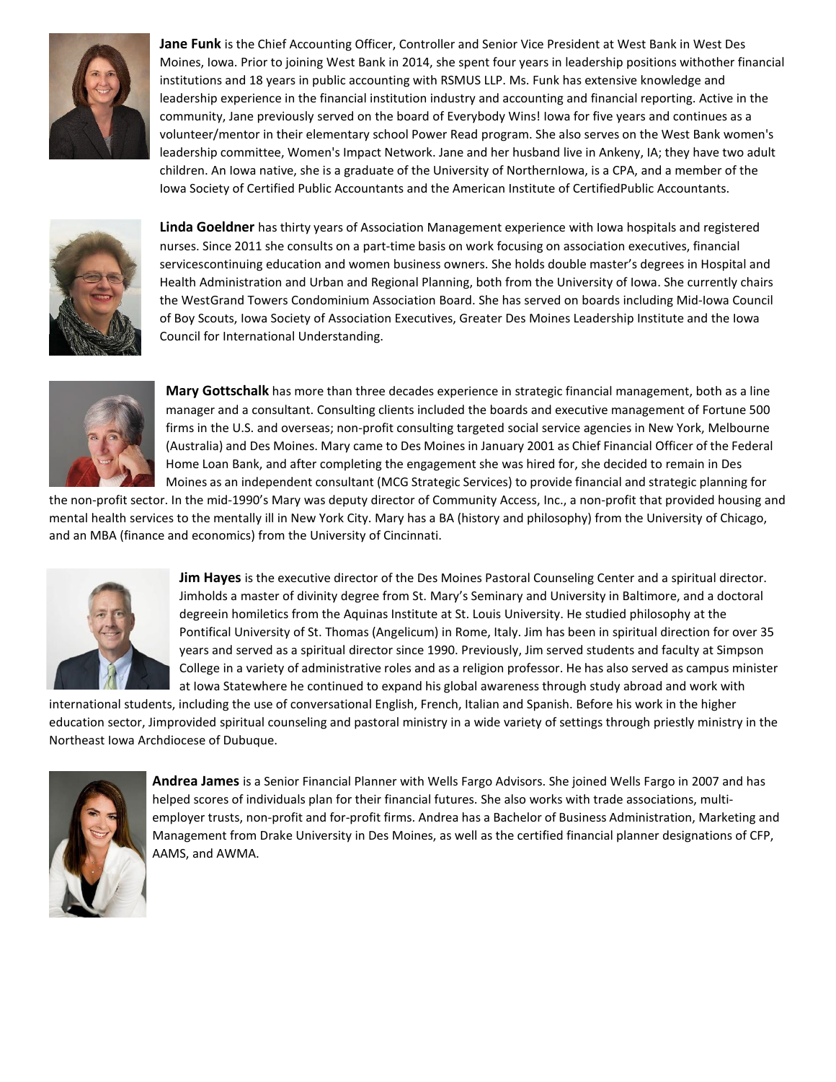

**Jane Funk** is the Chief Accounting Officer, Controller and Senior Vice President at West Bank in West Des Moines, Iowa. Prior to joining West Bank in 2014, she spent four years in leadership positions withother financial institutions and 18 years in public accounting with RSMUS LLP. Ms. Funk has extensive knowledge and leadership experience in the financial institution industry and accounting and financial reporting. Active in the community, Jane previously served on the board of Everybody Wins! Iowa for five years and continues as a volunteer/mentor in their elementary school Power Read program. She also serves on the West Bank women's leadership committee, Women's Impact Network. Jane and her husband live in Ankeny, IA; they have two adult children. An Iowa native, she is a graduate of the University of NorthernIowa, is a CPA, and a member of the Iowa Society of Certified Public Accountants and the American Institute of CertifiedPublic Accountants.



**Linda Goeldner** has thirty years of Association Management experience with Iowa hospitals and registered nurses. Since 2011 she consults on a part-time basis on work focusing on association executives, financial servicescontinuing education and women business owners. She holds double master's degrees in Hospital and Health Administration and Urban and Regional Planning, both from the University of Iowa. She currently chairs the WestGrand Towers Condominium Association Board. She has served on boards including Mid-Iowa Council of Boy Scouts, Iowa Society of Association Executives, Greater Des Moines Leadership Institute and the Iowa Council for International Understanding.



**Mary Gottschalk** has more than three decades experience in strategic financial management, both as a line manager and a consultant. Consulting clients included the boards and executive management of Fortune 500 firms in the U.S. and overseas; non-profit consulting targeted social service agencies in New York, Melbourne (Australia) and Des Moines. Mary came to Des Moines in January 2001 as Chief Financial Officer of the Federal Home Loan Bank, and after completing the engagement she was hired for, she decided to remain in Des Moines as an independent consultant (MCG Strategic Services) to provide financial and strategic planning for

the non-profit sector. In the mid-1990's Mary was deputy director of Community Access, Inc., a non-profit that provided housing and mental health services to the mentally ill in New York City. Mary has a BA (history and philosophy) from the University of Chicago, and an MBA (finance and economics) from the University of Cincinnati.



**Jim Hayes** is the executive director of the Des Moines Pastoral Counseling Center and a spiritual director. Jimholds a master of divinity degree from St. Mary's Seminary and University in Baltimore, and a doctoral degreein homiletics from the Aquinas Institute at St. Louis University. He studied philosophy at the Pontifical University of St. Thomas (Angelicum) in Rome, Italy. Jim has been in spiritual direction for over 35 years and served as a spiritual director since 1990. Previously, Jim served students and faculty at Simpson College in a variety of administrative roles and as a religion professor. He has also served as campus minister at Iowa Statewhere he continued to expand his global awareness through study abroad and work with

international students, including the use of conversational English, French, Italian and Spanish. Before his work in the higher education sector, Jimprovided spiritual counseling and pastoral ministry in a wide variety of settings through priestly ministry in the Northeast Iowa Archdiocese of Dubuque.



**Andrea James** is a Senior Financial Planner with Wells Fargo Advisors. She joined Wells Fargo in 2007 and has helped scores of individuals plan for their financial futures. She also works with trade associations, multiemployer trusts, non-profit and for-profit firms. Andrea has a Bachelor of Business Administration, Marketing and Management from Drake University in Des Moines, as well as the certified financial planner designations of CFP, AAMS, and AWMA.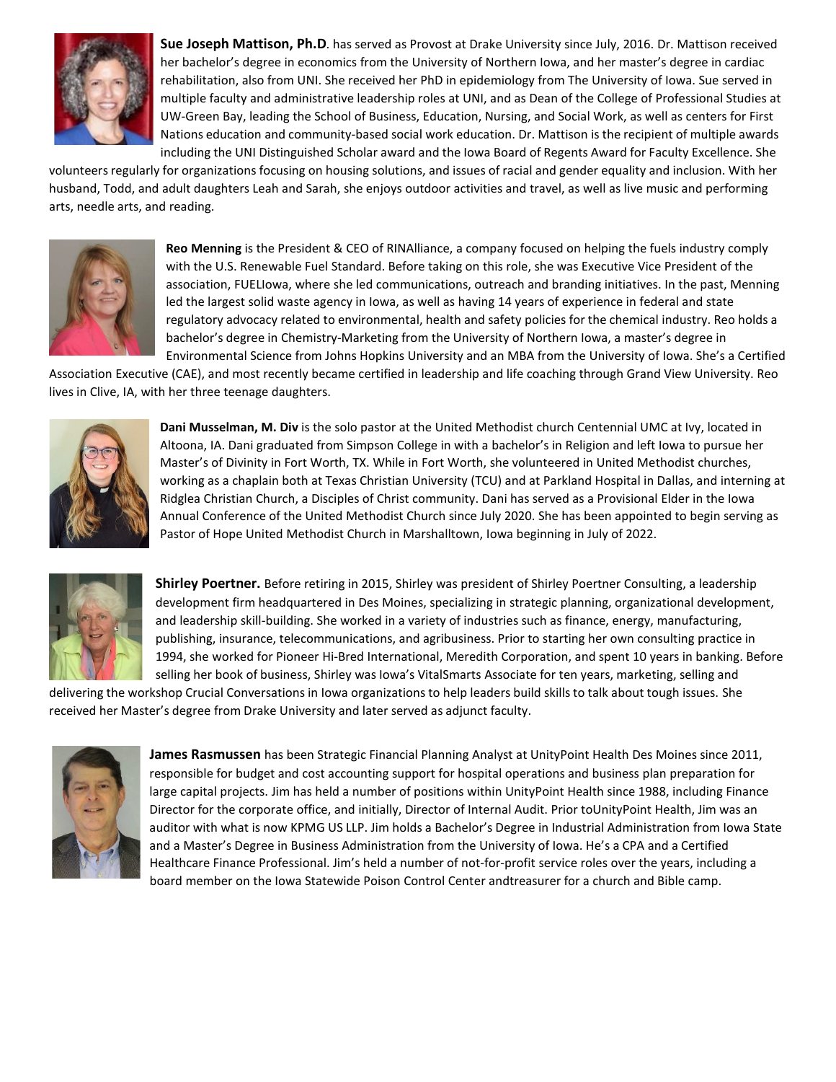

**Sue Joseph Mattison, Ph.D**. has served as Provost at Drake University since July, 2016. Dr. Mattison received her bachelor's degree in economics from the University of Northern Iowa, and her master's degree in cardiac rehabilitation, also from UNI. She received her PhD in epidemiology from The University of Iowa. Sue served in multiple faculty and administrative leadership roles at UNI, and as Dean of the College of Professional Studies at UW-Green Bay, leading the School of Business, Education, Nursing, and Social Work, as well as centers for First Nations education and community-based social work education. Dr. Mattison is the recipient of multiple awards including the UNI Distinguished Scholar award and the Iowa Board of Regents Award for Faculty Excellence. She

volunteers regularly for organizations focusing on housing solutions, and issues of racial and gender equality and inclusion. With her husband, Todd, and adult daughters Leah and Sarah, she enjoys outdoor activities and travel, as well as live music and performing arts, needle arts, and reading.



**Reo Menning** is the President & CEO of RINAlliance, a company focused on helping the fuels industry comply with the U.S. Renewable Fuel Standard. Before taking on this role, she was Executive Vice President of the association, FUELIowa, where she led communications, outreach and branding initiatives. In the past, Menning led the largest solid waste agency in Iowa, as well as having 14 years of experience in federal and state regulatory advocacy related to environmental, health and safety policies for the chemical industry. Reo holds a bachelor's degree in Chemistry-Marketing from the University of Northern Iowa, a master's degree in Environmental Science from Johns Hopkins University and an MBA from the University of Iowa. She's a Certified

Association Executive (CAE), and most recently became certified in leadership and life coaching through Grand View University. Reo lives in Clive, IA, with her three teenage daughters.



**Dani Musselman, M. Div** is the solo pastor at the United Methodist church Centennial UMC at Ivy, located in Altoona, IA. Dani graduated from Simpson College in with a bachelor's in Religion and left Iowa to pursue her Master's of Divinity in Fort Worth, TX. While in Fort Worth, she volunteered in United Methodist churches, working as a chaplain both at Texas Christian University (TCU) and at Parkland Hospital in Dallas, and interning at Ridglea Christian Church, a Disciples of Christ community. Dani has served as a Provisional Elder in the Iowa Annual Conference of the United Methodist Church since July 2020. She has been appointed to begin serving as Pastor of Hope United Methodist Church in Marshalltown, Iowa beginning in July of 2022.



**Shirley Poertner.** Before retiring in 2015, Shirley was president of Shirley Poertner Consulting, a leadership development firm headquartered in Des Moines, specializing in strategic planning, organizational development, and leadership skill-building. She worked in a variety of industries such as finance, energy, manufacturing, publishing, insurance, telecommunications, and agribusiness. Prior to starting her own consulting practice in 1994, she worked for Pioneer Hi-Bred International, Meredith Corporation, and spent 10 years in banking. Before selling her book of business, Shirley was Iowa's VitalSmarts Associate for ten years, marketing, selling and

delivering the workshop Crucial Conversations in Iowa organizations to help leaders build skills to talk about tough issues. She received her Master's degree from Drake University and later served as adjunct faculty.



**James Rasmussen** has been Strategic Financial Planning Analyst at UnityPoint Health Des Moines since 2011, responsible for budget and cost accounting support for hospital operations and business plan preparation for large capital projects. Jim has held a number of positions within UnityPoint Health since 1988, including Finance Director for the corporate office, and initially, Director of Internal Audit. Prior toUnityPoint Health, Jim was an auditor with what is now KPMG US LLP. Jim holds a Bachelor's Degree in Industrial Administration from Iowa State and a Master's Degree in Business Administration from the University of Iowa. He's a CPA and a Certified Healthcare Finance Professional. Jim's held a number of not-for-profit service roles over the years, including a board member on the Iowa Statewide Poison Control Center andtreasurer for a church and Bible camp.